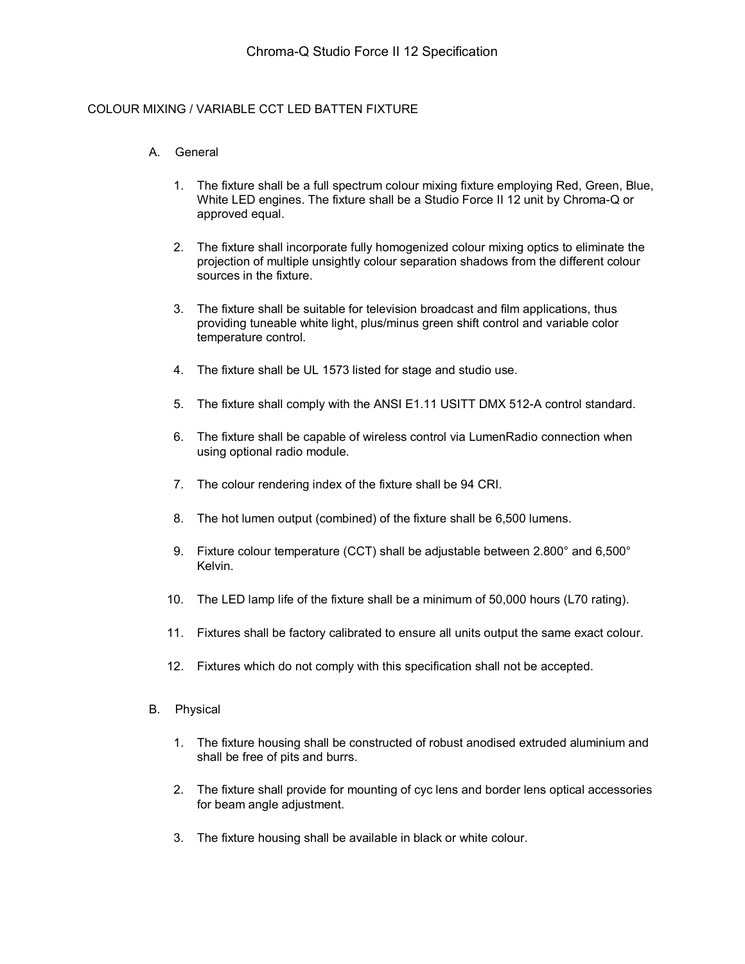## COLOUR MIXING / VARIABLE CCT LED BATTEN FIXTURE

## A. General

- 1. The fixture shall be a full spectrum colour mixing fixture employing Red, Green, Blue, White LED engines. The fixture shall be a Studio Force II 12 unit by Chroma-Q or approved equal.
- 2. The fixture shall incorporate fully homogenized colour mixing optics to eliminate the projection of multiple unsightly colour separation shadows from the different colour sources in the fixture.
- 3. The fixture shall be suitable for television broadcast and film applications, thus providing tuneable white light, plus/minus green shift control and variable color temperature control.
- 4. The fixture shall be UL 1573 listed for stage and studio use.
- 5. The fixture shall comply with the ANSI E1.11 USITT DMX 512-A control standard.
- 6. The fixture shall be capable of wireless control via LumenRadio connection when using optional radio module.
- 7. The colour rendering index of the fixture shall be 94 CRI.
- 8. The hot lumen output (combined) of the fixture shall be 6,500 lumens.
- 9. Fixture colour temperature (CCT) shall be adjustable between 2.800° and 6,500° Kelvin.
- 10. The LED lamp life of the fixture shall be a minimum of 50,000 hours (L70 rating).
- 11. Fixtures shall be factory calibrated to ensure all units output the same exact colour.
- 12. Fixtures which do not comply with this specification shall not be accepted.
- B. Physical
	- 1. The fixture housing shall be constructed of robust anodised extruded aluminium and shall be free of pits and burrs.
	- 2. The fixture shall provide for mounting of cyc lens and border lens optical accessories for beam angle adjustment.
	- 3. The fixture housing shall be available in black or white colour.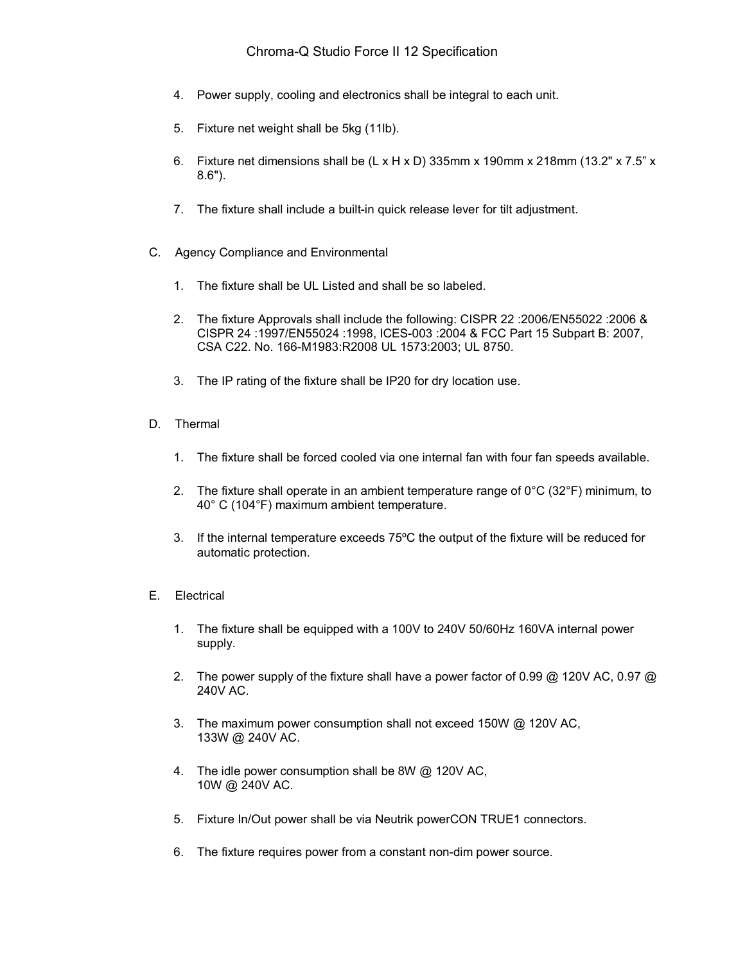- 4. Power supply, cooling and electronics shall be integral to each unit.
- 5. Fixture net weight shall be 5kg (11lb).
- 6. Fixture net dimensions shall be  $(L \times H \times D)$  335mm x 190mm x 218mm (13.2" x 7.5" x 8.6").
- 7. The fixture shall include a built-in quick release lever for tilt adjustment.
- C. Agency Compliance and Environmental
	- 1. The fixture shall be UL Listed and shall be so labeled.
	- 2. The fixture Approvals shall include the following: CISPR 22 :2006/EN55022 :2006 & CISPR 24 :1997/EN55024 :1998, ICES-003 :2004 & FCC Part 15 Subpart B: 2007, CSA C22. No. 166-M1983:R2008 UL 1573:2003; UL 8750.
	- 3. The IP rating of the fixture shall be IP20 for dry location use.
- D. Thermal
	- 1. The fixture shall be forced cooled via one internal fan with four fan speeds available.
	- 2. The fixture shall operate in an ambient temperature range of  $0^{\circ}C$  (32 $^{\circ}F$ ) minimum, to 40° C (104°F) maximum ambient temperature.
	- 3. If the internal temperature exceeds 75ºC the output of the fixture will be reduced for automatic protection.
- E. Electrical
	- 1. The fixture shall be equipped with a 100V to 240V 50/60Hz 160VA internal power supply.
	- 2. The power supply of the fixture shall have a power factor of 0.99 @ 120V AC, 0.97 @ 240V AC.
	- 3. The maximum power consumption shall not exceed 150W @ 120V AC, 133W @ 240V AC.
	- 4. The idle power consumption shall be 8W @ 120V AC, 10W @ 240V AC.
	- 5. Fixture In/Out power shall be via Neutrik powerCON TRUE1 connectors.
	- 6. The fixture requires power from a constant non-dim power source.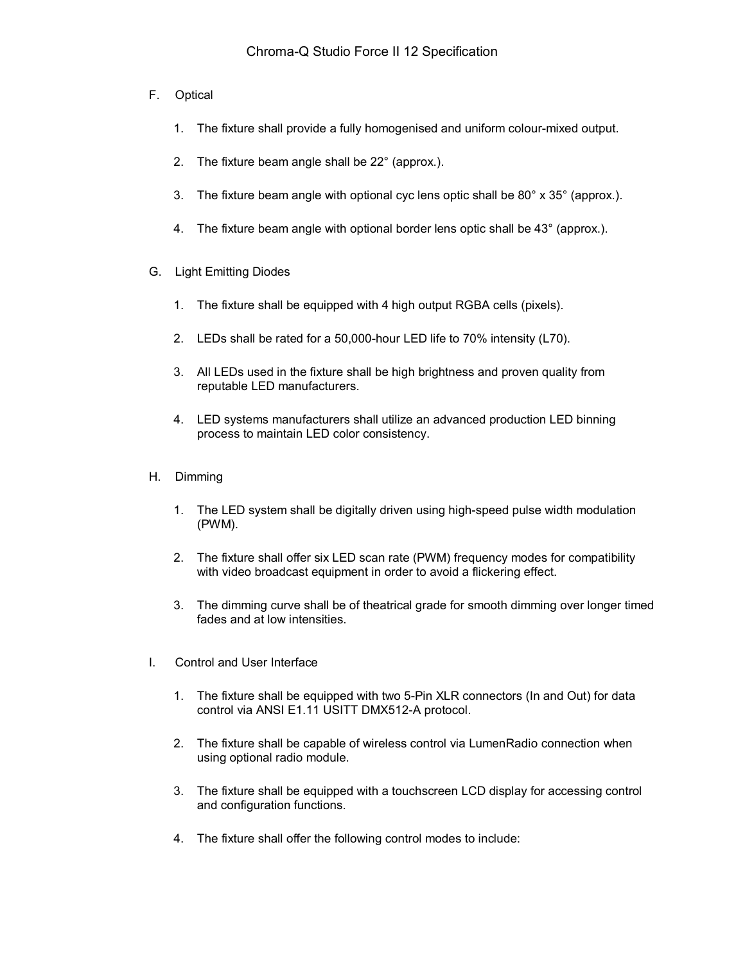- F. Optical
	- 1. The fixture shall provide a fully homogenised and uniform colour-mixed output.
	- 2. The fixture beam angle shall be 22° (approx.).
	- 3. The fixture beam angle with optional cyc lens optic shall be 80° x 35° (approx.).
	- 4. The fixture beam angle with optional border lens optic shall be 43° (approx.).
- G. Light Emitting Diodes
	- 1. The fixture shall be equipped with 4 high output RGBA cells (pixels).
	- 2. LEDs shall be rated for a 50,000-hour LED life to 70% intensity (L70).
	- 3. All LEDs used in the fixture shall be high brightness and proven quality from reputable LED manufacturers.
	- 4. LED systems manufacturers shall utilize an advanced production LED binning process to maintain LED color consistency.
- H. Dimming
	- 1. The LED system shall be digitally driven using high-speed pulse width modulation (PWM).
	- 2. The fixture shall offer six LED scan rate (PWM) frequency modes for compatibility with video broadcast equipment in order to avoid a flickering effect.
	- 3. The dimming curve shall be of theatrical grade for smooth dimming over longer timed fades and at low intensities.
- I. Control and User Interface
	- 1. The fixture shall be equipped with two 5-Pin XLR connectors (In and Out) for data control via ANSI E1.11 USITT DMX512-A protocol.
	- 2. The fixture shall be capable of wireless control via LumenRadio connection when using optional radio module.
	- 3. The fixture shall be equipped with a touchscreen LCD display for accessing control and configuration functions.
	- 4. The fixture shall offer the following control modes to include: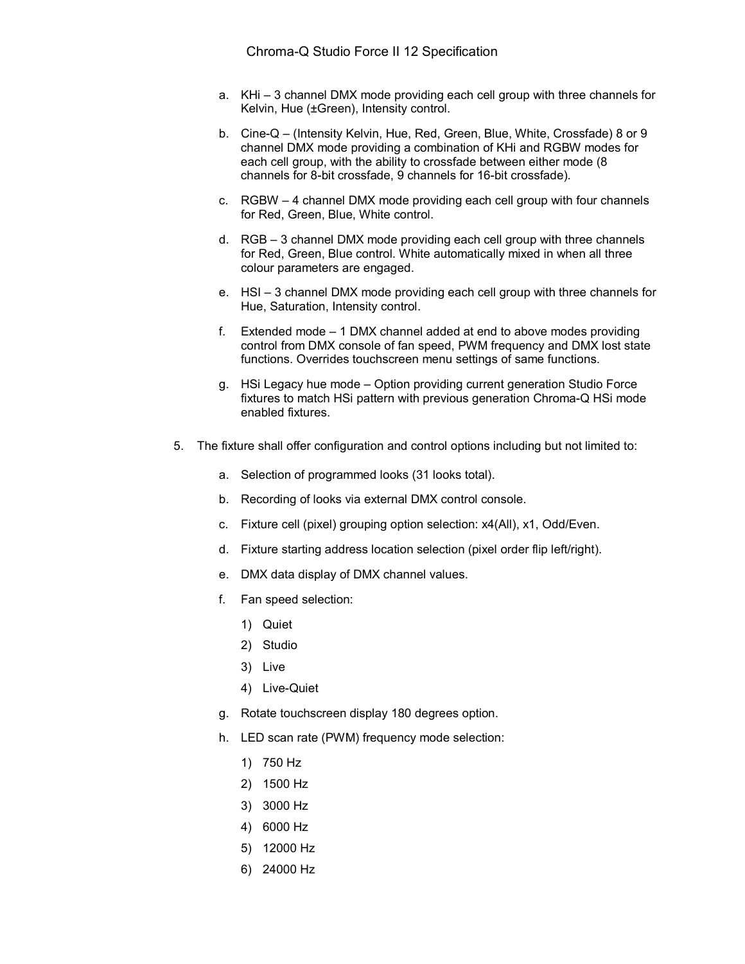- a. KHi 3 channel DMX mode providing each cell group with three channels for Kelvin, Hue (±Green), Intensity control.
- b. Cine-Q (Intensity Kelvin, Hue, Red, Green, Blue, White, Crossfade) 8 or 9 channel DMX mode providing a combination of KHi and RGBW modes for each cell group, with the ability to crossfade between either mode (8 channels for 8-bit crossfade, 9 channels for 16-bit crossfade).
- c. RGBW 4 channel DMX mode providing each cell group with four channels for Red, Green, Blue, White control.
- d. RGB 3 channel DMX mode providing each cell group with three channels for Red, Green, Blue control. White automatically mixed in when all three colour parameters are engaged.
- e. HSI 3 channel DMX mode providing each cell group with three channels for Hue, Saturation, Intensity control.
- f. Extended mode 1 DMX channel added at end to above modes providing control from DMX console of fan speed, PWM frequency and DMX lost state functions. Overrides touchscreen menu settings of same functions.
- g. HSi Legacy hue mode Option providing current generation Studio Force fixtures to match HSi pattern with previous generation Chroma-Q HSi mode enabled fixtures.
- 5. The fixture shall offer configuration and control options including but not limited to:
	- a. Selection of programmed looks (31 looks total).
	- b. Recording of looks via external DMX control console.
	- c. Fixture cell (pixel) grouping option selection: x4(All), x1, Odd/Even.
	- d. Fixture starting address location selection (pixel order flip left/right).
	- e. DMX data display of DMX channel values.
	- f. Fan speed selection:
		- 1) Quiet
		- 2) Studio
		- 3) Live
		- 4) Live-Quiet
	- g. Rotate touchscreen display 180 degrees option.
	- h. LED scan rate (PWM) frequency mode selection:
		- 1) 750 Hz
		- 2) 1500 Hz
		- 3) 3000 Hz
		- 4) 6000 Hz
		- 5) 12000 Hz
		- 6) 24000 Hz